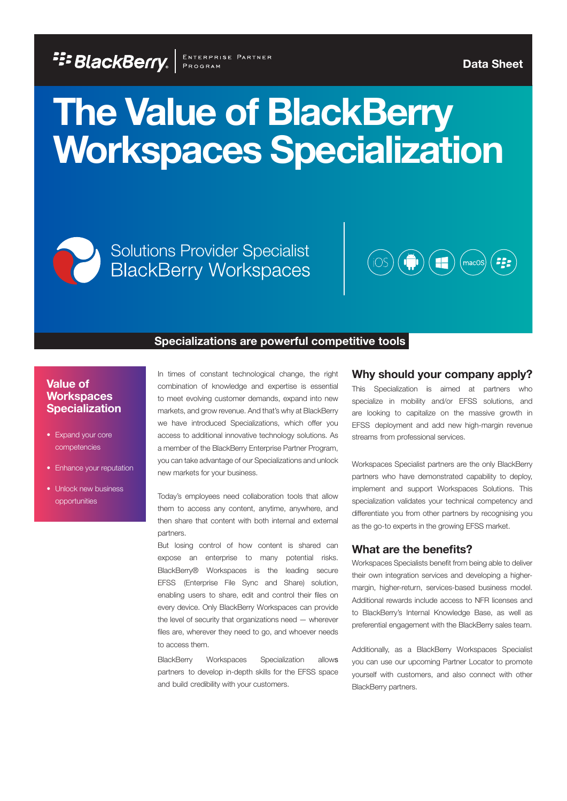**FIF BLACKBEITY.** ENTERPRISE PARTNER

**Data Sheet**

# **The Value of BlackBerry Workspaces Specialization**

Solutions Provider Specialist<br>BlackBerry Workspaces



#### **Specializations are powerful competitive tools**

## **Value of Workspaces Specialization**

- Expand your core competencies
- Enhance your reputation
- Unlock new business opportunities

In times of constant technological change, the right combination of knowledge and expertise is essential to meet evolving customer demands, expand into new markets, and grow revenue. And that's why at BlackBerry we have introduced Specializations, which offer you access to additional innovative technology solutions. As a member of the BlackBerry Enterprise Partner Program, you can take advantage of our Specializations and unlock new markets for your business.

Today's employees need collaboration tools that allow them to access any content, anytime, anywhere, and then share that content with both internal and external partners.

But losing control of how content is shared can expose an enterprise to many potential risks. BlackBerry® Workspaces is the leading secure EFSS (Enterprise File Sync and Share) solution, enabling users to share, edit and control their files on every device. Only BlackBerry Workspaces can provide the level of security that organizations need — wherever files are, wherever they need to go, and whoever needs to access them.

BlackBerry Workspaces Specialization allows partners to develop in-depth skills for the EFSS space and build credibility with your customers.

#### **Why should your company apply?**

This Specialization is aimed at partners who specialize in mobility and/or EFSS solutions, and are looking to capitalize on the massive growth in EFSS deployment and add new high-margin revenue streams from professional services.

Workspaces Specialist partners are the only BlackBerry partners who have demonstrated capability to deploy, implement and support Workspaces Solutions. This specialization validates your technical competency and differentiate you from other partners by recognising you as the go-to experts in the growing EFSS market.

#### **What are the benefits?**

Workspaces Specialists benefit from being able to deliver their own integration services and developing a highermargin, higher-return, services-based business model. Additional rewards include access to NFR licenses and to BlackBerry's Internal Knowledge Base, as well as preferential engagement with the BlackBerry sales team.

Additionally, as a BlackBerry Workspaces Specialist you can use our upcoming Partner Locator to promote yourself with customers, and also connect with other BlackBerry partners.